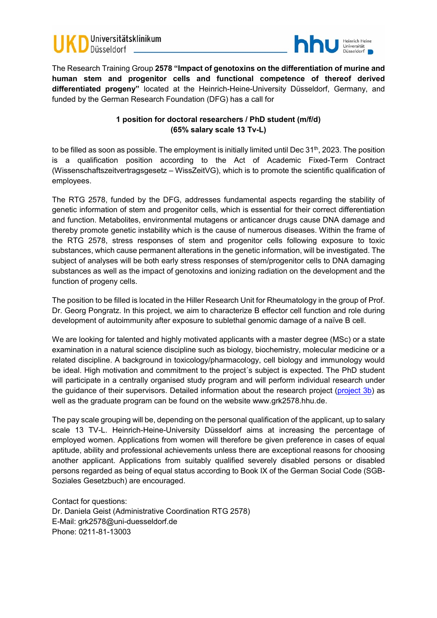



The Research Training Group **2578 "Impact of genotoxins on the differentiation of murine and human stem and progenitor cells and functional competence of thereof derived differentiated progeny"** located at the Heinrich-Heine-University Düsseldorf, Germany, and funded by the German Research Foundation (DFG) has a call for

## **1 position for doctoral researchers / PhD student (m/f/d) (65% salary scale 13 Tv-L)**

to be filled as soon as possible. The employment is initially limited until Dec  $31<sup>th</sup>$ , 2023. The position is a qualification position according to the Act of Academic Fixed-Term Contract (Wissenschaftszeitvertragsgesetz – WissZeitVG), which is to promote the scientific qualification of employees.

The RTG 2578, funded by the DFG, addresses fundamental aspects regarding the stability of genetic information of stem and progenitor cells, which is essential for their correct differentiation and function. Metabolites, environmental mutagens or anticancer drugs cause DNA damage and thereby promote genetic instability which is the cause of numerous diseases. Within the frame of the RTG 2578, stress responses of stem and progenitor cells following exposure to toxic substances, which cause permanent alterations in the genetic information, will be investigated. The subject of analyses will be both early stress responses of stem/progenitor cells to DNA damaging substances as well as the impact of genotoxins and ionizing radiation on the development and the function of progeny cells.

The position to be filled is located in the Hiller Research Unit for Rheumatology in the group of Prof. Dr. Georg Pongratz. In this project, we aim to characterize B effector cell function and role during development of autoimmunity after exposure to sublethal genomic damage of a naïve B cell.

We are looking for talented and highly motivated applicants with a master degree (MSc) or a state examination in a natural science discipline such as biology, biochemistry, molecular medicine or a related discipline. A background in toxicology/pharmacology, cell biology and immunology would be ideal. High motivation and commitment to the project´s subject is expected. The PhD student will participate in a centrally organised study program and will perform individual research under the guidance of their supervisors. Detailed information about the research project [\(project 3b\)](https://www.grk2578.hhu.de/en/research/research-projects/sublethal-genomic-damage-of-naive-b-cells-consequences-for-differentiation-and-function-with-a-focus-on-development-of-autoimmunity) as well as the graduate program can be found on the website www.grk2578.hhu.de.

The pay scale grouping will be, depending on the personal qualification of the applicant, up to salary scale 13 TV-L. Heinrich-Heine-University Düsseldorf aims at increasing the percentage of employed women. Applications from women will therefore be given preference in cases of equal aptitude, ability and professional achievements unless there are exceptional reasons for choosing another applicant. Applications from suitably qualified severely disabled persons or disabled persons regarded as being of equal status according to Book IX of the German Social Code (SGB-Soziales Gesetzbuch) are encouraged.

Contact for questions: Dr. Daniela Geist (Administrative Coordination RTG 2578) E-Mail: grk2578@uni-duesseldorf.de Phone: 0211-81-13003